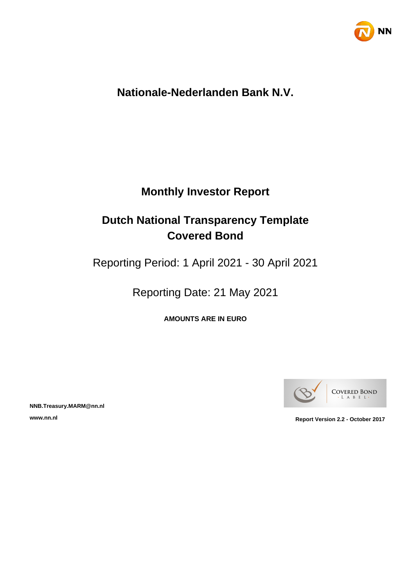

## **Nationale-Nederlanden Bank N.V.**

## **Monthly Investor Report**

## **Dutch National Transparency Template Covered Bond**

Reporting Period: 1 April 2021 - 30 April 2021

Reporting Date: 21 May 2021

**AMOUNTS ARE IN EURO**



**NNB.Treasury.MARM@nn.nl**

**www.nn.nl Report Version 2.2 - October 2017**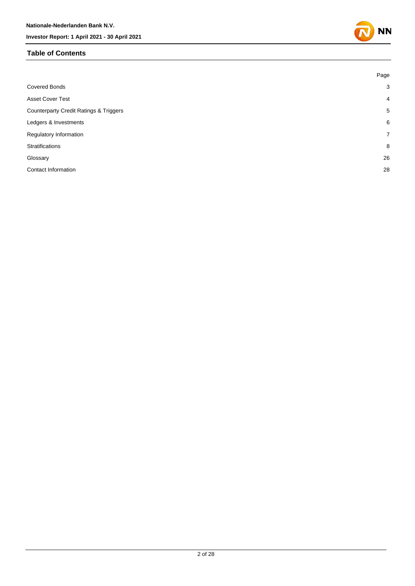#### **Table of Contents**



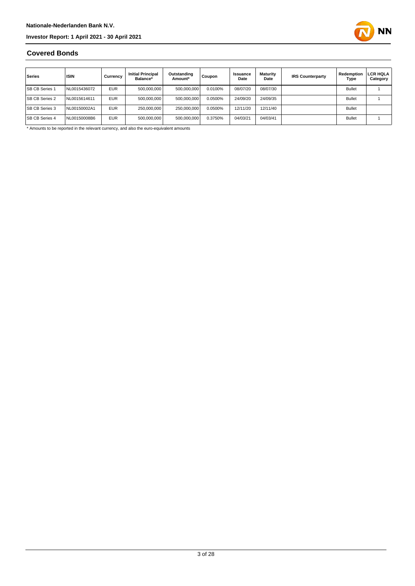

#### **Covered Bonds**

| Series                | <b>ISIN</b>  | Currency   | <b>Initial Principal</b><br>Balance* | Outstanding<br>Amount* | Coupon  | Issuance<br>Date | Maturity<br>Date | <b>IRS Counterparty</b> | Redemption<br>Type | LCR HQLA<br>Category |
|-----------------------|--------------|------------|--------------------------------------|------------------------|---------|------------------|------------------|-------------------------|--------------------|----------------------|
| <b>SB CB Series 1</b> | NL0015436072 | <b>EUR</b> | 500,000,000                          | 500,000,000            | 0.0100% | 08/07/20         | 08/07/30         |                         | <b>Bullet</b>      |                      |
| <b>SB CB Series 2</b> | NL0015614611 | <b>EUR</b> | 500.000.000                          | 500,000,000            | 0.0500% | 24/09/20         | 24/09/35         |                         | <b>Bullet</b>      |                      |
| <b>SB CB Series 3</b> | NL00150002A1 | <b>EUR</b> | 250,000,000                          | 250.000.000            | 0.0500% | 12/11/20         | 12/11/40         |                         | <b>Bullet</b>      |                      |
| <b>SB CB Series 4</b> | NL00150008B6 | <b>EUR</b> | 500,000,000                          | 500,000,000            | 0.3750% | 04/03/21         | 04/03/41         |                         | <b>Bullet</b>      |                      |

\* Amounts to be reported in the relevant currency, and also the euro-equivalent amounts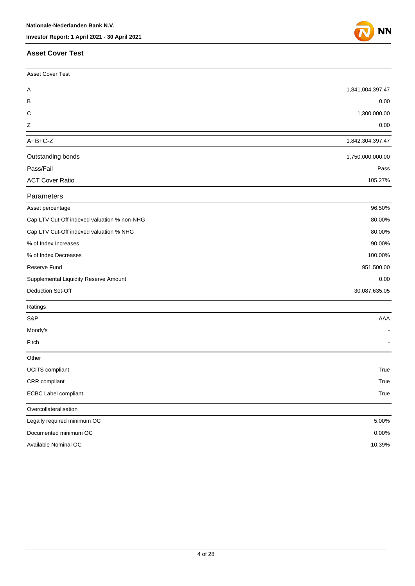#### **Asset Cover Test**



| <b>Asset Cover Test</b>                     |                  |
|---------------------------------------------|------------------|
| Α                                           | 1,841,004,397.47 |
| В                                           | 0.00             |
| С                                           | 1,300,000.00     |
| Ζ                                           | 0.00             |
| $A+B+C-Z$                                   | 1,842,304,397.47 |
| Outstanding bonds                           | 1,750,000,000.00 |
| Pass/Fail                                   | Pass             |
| <b>ACT Cover Ratio</b>                      | 105.27%          |
| Parameters                                  |                  |
| Asset percentage                            | 96.50%           |
| Cap LTV Cut-Off indexed valuation % non-NHG | 80.00%           |
| Cap LTV Cut-Off indexed valuation % NHG     | 80.00%           |
| % of Index Increases                        | 90.00%           |
| % of Index Decreases                        | 100.00%          |
| Reserve Fund                                | 951,500.00       |
| Supplemental Liquidity Reserve Amount       | 0.00             |
| Deduction Set-Off                           | 30,087,635.05    |
| Ratings                                     |                  |
| S&P                                         | AAA              |
| Moody's                                     |                  |
| Fitch                                       |                  |
| Other                                       |                  |
| UCITS compliant                             | True             |
| CRR compliant                               | True             |
| <b>ECBC Label compliant</b>                 | True             |
| Overcollateralisation                       |                  |
| Legally required minimum OC                 | 5.00%            |
| Documented minimum OC                       | 0.00%            |
| Available Nominal OC                        | 10.39%           |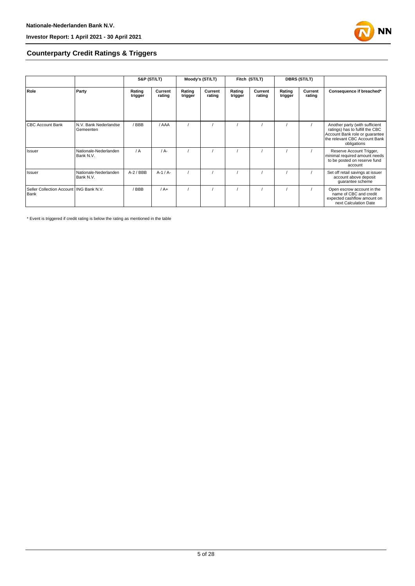

#### **Counterparty Credit Ratings & Triggers**

|                                                   |                                    | S&P (ST/LT)       |                   | Moody's (ST/LT)   |                   | Fitch (ST/LT)     |                   | <b>DBRS (ST/LT)</b> |                   |                                                                                                                                                     |  |
|---------------------------------------------------|------------------------------------|-------------------|-------------------|-------------------|-------------------|-------------------|-------------------|---------------------|-------------------|-----------------------------------------------------------------------------------------------------------------------------------------------------|--|
| Role                                              | Party                              | Rating<br>trigger | Current<br>rating | Rating<br>trigger | Current<br>rating | Rating<br>trigger | Current<br>rating | Rating<br>trigger   | Current<br>rating | Consequence if breached*                                                                                                                            |  |
| <b>CBC Account Bank</b>                           | N.V. Bank Nederlandse<br>Gemeenten | / BBB             | / AAA             |                   |                   |                   |                   |                     |                   | Another party (with sufficient<br>ratings) has to fulfill the CBC<br>Account Bank role or guarantee<br>the relevant CBC Account Bank<br>obligations |  |
| Issuer                                            | Nationale-Nederlanden<br>Bank N.V. | $\sqrt{A}$        | $/A -$            |                   |                   |                   |                   |                     |                   | Reserve Account Trigger,<br>minimal required amount needs<br>to be posted on reserve fund<br>account                                                |  |
| Issuer                                            | Nationale-Nederlanden<br>Bank N.V. | $A-2$ / BBB       | $A-1/A-$          |                   |                   |                   |                   |                     |                   | Set off retail savings at issuer<br>account above deposit<br>guarantee scheme                                                                       |  |
| Seller Collection Account   ING Bank N.V.<br>Bank |                                    | / BBB             | $/A+$             |                   |                   |                   |                   |                     |                   | Open escrow account in the<br>name of CBC and credit<br>expected cashflow amount on<br>next Calculation Date                                        |  |

\* Event is triggered if credit rating is below the rating as mentioned in the table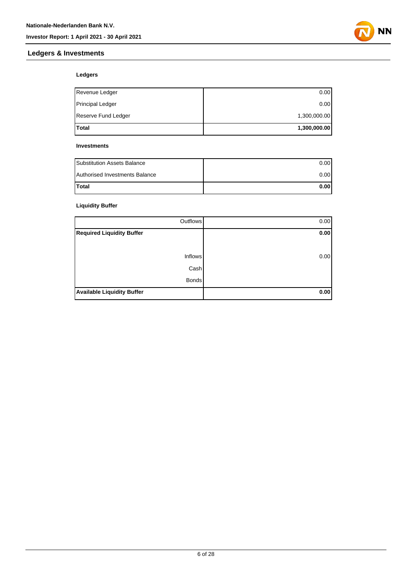### **Ledgers & Investments**



#### **Ledgers**

| <b>Total</b>            | 1,300,000.00 |
|-------------------------|--------------|
| Reserve Fund Ledger     | 1,300,000.00 |
| <b>Principal Ledger</b> | 0.00         |
| Revenue Ledger          | 0.00         |

#### **Investments**

| <b>Substitution Assets Balance</b> | 0.001 |
|------------------------------------|-------|
| Authorised Investments Balance     | 0.001 |
| <b>Total</b>                       | 0.001 |

#### **Liquidity Buffer**

| Outflows                          | 0.00 |
|-----------------------------------|------|
| <b>Required Liquidity Buffer</b>  | 0.00 |
|                                   |      |
| <b>Inflows</b>                    | 0.00 |
| Cash                              |      |
| <b>Bonds</b>                      |      |
| <b>Available Liquidity Buffer</b> | 0.00 |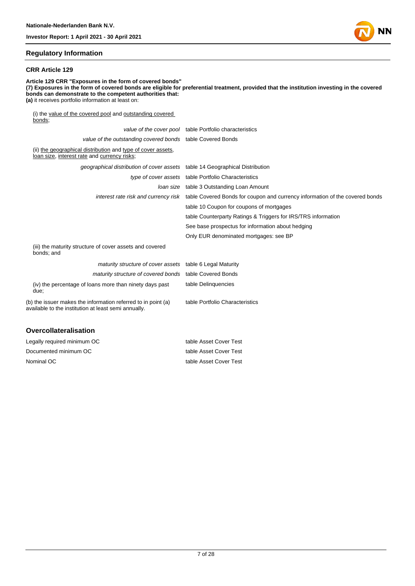#### **Regulatory Information**

#### **CRR Article 129**

**Article 129 CRR "Exposures in the form of covered bonds" (7) Exposures in the form of covered bonds are eligible for preferential treatment, provided that the institution investing in the covered bonds can demonstrate to the competent authorities that: (a)** it receives portfolio information at least on: (i) the value of the covered pool and outstanding covered bonds; value of the cover pool table Portfolio characteristics

| value of the outstanding covered bonds table Covered Bonds                                                            |                                                                                                                   |
|-----------------------------------------------------------------------------------------------------------------------|-------------------------------------------------------------------------------------------------------------------|
| (ii) the geographical distribution and type of cover assets,<br>loan size, interest rate and currency risks;          |                                                                                                                   |
| geographical distribution of cover assets table 14 Geographical Distribution                                          |                                                                                                                   |
|                                                                                                                       | type of cover assets table Portfolio Characteristics                                                              |
|                                                                                                                       | Joan size table 3 Outstanding Loan Amount                                                                         |
|                                                                                                                       | interest rate risk and currency risk table Covered Bonds for coupon and currency information of the covered bonds |
|                                                                                                                       | table 10 Coupon for coupons of mortgages                                                                          |
|                                                                                                                       | table Counterparty Ratings & Triggers for IRS/TRS information                                                     |
|                                                                                                                       | See base prospectus for information about hedging                                                                 |
|                                                                                                                       | Only EUR denominated mortgages: see BP                                                                            |
| (iii) the maturity structure of cover assets and covered<br>bonds; and                                                |                                                                                                                   |
| maturity structure of cover assets table 6 Legal Maturity                                                             |                                                                                                                   |
| maturity structure of covered bonds table Covered Bonds                                                               |                                                                                                                   |
| (iv) the percentage of loans more than ninety days past<br>due;                                                       | table Delinguencies                                                                                               |
| (b) the issuer makes the information referred to in point (a)<br>available to the institution at least semi annually. | table Portfolio Characteristics                                                                                   |
|                                                                                                                       |                                                                                                                   |

#### **Overcollateralisation**

| Legally required minimum OC | table Asset Cover Test |
|-----------------------------|------------------------|
| Documented minimum OC       | table Asset Cover Test |
| Nominal OC                  | table Asset Cover Test |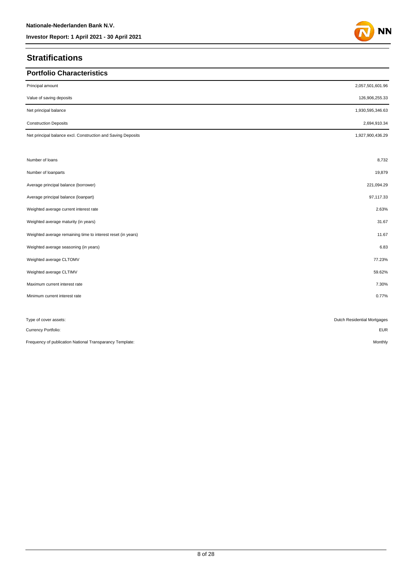## **Stratifications**

| <b>Portfolio Characteristics</b>                             |                             |
|--------------------------------------------------------------|-----------------------------|
| Principal amount                                             | 2,057,501,601.96            |
| Value of saving deposits                                     | 126,906,255.33              |
| Net principal balance                                        | 1,930,595,346.63            |
| <b>Construction Deposits</b>                                 | 2,694,910.34                |
| Net principal balance excl. Construction and Saving Deposits | 1,927,900,436.29            |
| Number of loans                                              | 8,732                       |
| Number of loanparts                                          | 19,879                      |
| Average principal balance (borrower)                         | 221,094.29                  |
| Average principal balance (loanpart)                         | 97,117.33                   |
| Weighted average current interest rate                       | 2.63%                       |
| Weighted average maturity (in years)                         | 31.67                       |
| Weighted average remaining time to interest reset (in years) | 11.67                       |
| Weighted average seasoning (in years)                        | 6.83                        |
| Weighted average CLTOMV                                      | 77.23%                      |
| Weighted average CLTIMV                                      | 59.62%                      |
| Maximum current interest rate                                | 7.30%                       |
| Minimum current interest rate                                | 0.77%                       |
| Type of cover assets:                                        | Dutch Residential Mortgages |
| Currency Portfolio:                                          | <b>EUR</b>                  |
| Frequency of publication National Transparancy Template:     | Monthly                     |

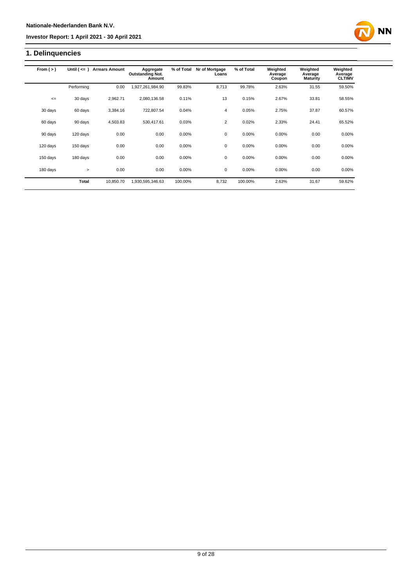## **1. Delinquencies**

| From $(>)$ | Until $($ <= $)$ | <b>Arrears Amount</b> | Aggregate<br><b>Outstanding Not.</b><br>Amount | % of Total | Nr of Mortgage<br>Loans | % of Total | Weighted<br>Average<br>Coupon | Weighted<br>Average<br><b>Maturity</b> | Weighted<br>Average<br><b>CLTIMV</b> |
|------------|------------------|-----------------------|------------------------------------------------|------------|-------------------------|------------|-------------------------------|----------------------------------------|--------------------------------------|
|            | Performing       | 0.00                  | 1,927,261,984.90                               | 99.83%     | 8,713                   | 99.78%     | 2.63%                         | 31.55                                  | 59.50%                               |
| $\leq$     | 30 days          | 2,962.71              | 2,080,136.58                                   | 0.11%      | 13                      | 0.15%      | 2.67%                         | 33.81                                  | 58.55%                               |
| 30 days    | 60 days          | 3,384.16              | 722,807.54                                     | 0.04%      | 4                       | 0.05%      | 2.75%                         | 37.87                                  | 60.57%                               |
| 60 days    | 90 days          | 4,503.83              | 530,417.61                                     | 0.03%      | $\overline{2}$          | 0.02%      | 2.33%                         | 24.41                                  | 65.52%                               |
| 90 days    | 120 days         | 0.00                  | 0.00                                           | 0.00%      | 0                       | 0.00%      | 0.00%                         | 0.00                                   | 0.00%                                |
| 120 days   | 150 days         | 0.00                  | 0.00                                           | 0.00%      | $\mathbf 0$             | 0.00%      | 0.00%                         | 0.00                                   | 0.00%                                |
| 150 days   | 180 days         | 0.00                  | 0.00                                           | 0.00%      | 0                       | 0.00%      | 0.00%                         | 0.00                                   | 0.00%                                |
| 180 days   | $\geq$           | 0.00                  | 0.00                                           | 0.00%      | $\mathbf 0$             | 0.00%      | 0.00%                         | 0.00                                   | 0.00%                                |
|            | <b>Total</b>     | 10.850.70             | 1,930,595,346.63                               | 100.00%    | 8,732                   | 100.00%    | 2.63%                         | 31.67                                  | 59.62%                               |

**NN**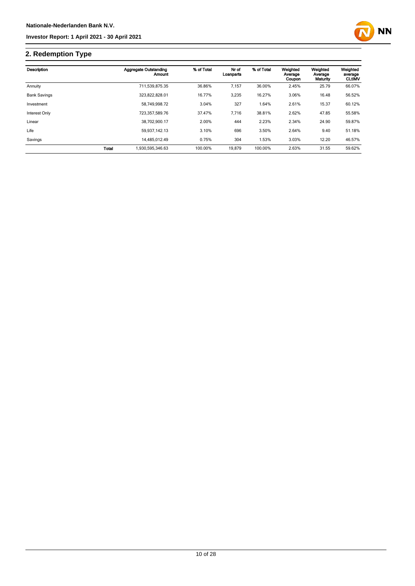

## **2. Redemption Type**

| Description         |       | Aggregate Outstanding<br>Amount | % of Total | Nr of<br>Loanparts | % of Total | Weighted<br>Average<br>Coupon | Weighted<br>Average<br>Maturity | Weighted<br>average<br><b>CLtIMV</b> |
|---------------------|-------|---------------------------------|------------|--------------------|------------|-------------------------------|---------------------------------|--------------------------------------|
| Annuity             |       | 711,539,875.35                  | 36.86%     | 7,157              | 36.00%     | 2.45%                         | 25.79                           | 66.07%                               |
| <b>Bank Savings</b> |       | 323,822,828.01                  | 16.77%     | 3,235              | 16.27%     | 3.06%                         | 16.48                           | 56.52%                               |
| Investment          |       | 58.749.998.72                   | 3.04%      | 327                | 1.64%      | 2.61%                         | 15.37                           | 60.12%                               |
| Interest Only       |       | 723,357,589.76                  | 37.47%     | 7,716              | 38.81%     | 2.62%                         | 47.85                           | 55.58%                               |
| Linear              |       | 38.702.900.17                   | 2.00%      | 444                | 2.23%      | 2.34%                         | 24.90                           | 59.87%                               |
| Life                |       | 59.937.142.13                   | 3.10%      | 696                | 3.50%      | 2.64%                         | 9.40                            | 51.18%                               |
| Savings             |       | 14.485.012.49                   | 0.75%      | 304                | 1.53%      | 3.03%                         | 12.20                           | 46.57%                               |
|                     | Total | 1,930,595,346.63                | 100.00%    | 19,879             | 100.00%    | 2.63%                         | 31.55                           | 59.62%                               |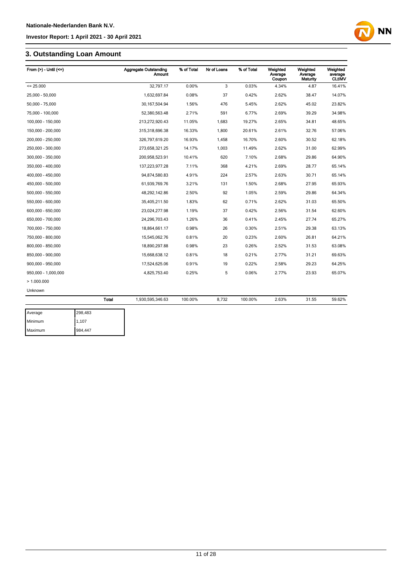## **3. Outstanding Loan Amount**

| From $(>)$ - Until $(<=)$ |              | <b>Aggregate Outstanding</b><br><b>Amount</b> | % of Total | Nr of Loans | % of Total | Weighted<br>Average<br>Coupon | Weighted<br>Average<br>Maturity | Weighted<br>average<br><b>CLtIMV</b> |
|---------------------------|--------------|-----------------------------------------------|------------|-------------|------------|-------------------------------|---------------------------------|--------------------------------------|
| $= 25.000$                |              | 32.797.17                                     | 0.00%      | 3           | 0.03%      | 4.34%                         | 4.87                            | 16.41%                               |
| 25,000 - 50,000           |              | 1,632,697.84                                  | 0.08%      | 37          | 0.42%      | 2.62%                         | 38.47                           | 14.07%                               |
| 50,000 - 75,000           |              | 30,167,504.94                                 | 1.56%      | 476         | 5.45%      | 2.62%                         | 45.02                           | 23.82%                               |
| 75,000 - 100,000          |              | 52,380,563.48                                 | 2.71%      | 591         | 6.77%      | 2.69%                         | 39.29                           | 34.98%                               |
| 100,000 - 150,000         |              | 213,272,920.43                                | 11.05%     | 1,683       | 19.27%     | 2.65%                         | 34.81                           | 48.65%                               |
| 150,000 - 200,000         |              | 315,318,696.38                                | 16.33%     | 1,800       | 20.61%     | 2.61%                         | 32.76                           | 57.06%                               |
| 200,000 - 250,000         |              | 326,797,619.20                                | 16.93%     | 1,458       | 16.70%     | 2.60%                         | 30.52                           | 62.18%                               |
| 250,000 - 300,000         |              | 273,658,321.25                                | 14.17%     | 1,003       | 11.49%     | 2.62%                         | 31.00                           | 62.99%                               |
| 300,000 - 350,000         |              | 200,958,523.91                                | 10.41%     | 620         | 7.10%      | 2.68%                         | 29.86                           | 64.90%                               |
| 350,000 - 400,000         |              | 137,223,977.28                                | 7.11%      | 368         | 4.21%      | 2.69%                         | 28.77                           | 65.14%                               |
| 400,000 - 450,000         |              | 94,874,580.83                                 | 4.91%      | 224         | 2.57%      | 2.63%                         | 30.71                           | 65.14%                               |
| 450,000 - 500,000         |              | 61,939,769.76                                 | 3.21%      | 131         | 1.50%      | 2.68%                         | 27.95                           | 65.93%                               |
| 500,000 - 550,000         |              | 48,292,142.86                                 | 2.50%      | 92          | 1.05%      | 2.59%                         | 29.86                           | 64.34%                               |
| 550,000 - 600,000         |              | 35,405,211.50                                 | 1.83%      | 62          | 0.71%      | 2.62%                         | 31.03                           | 65.50%                               |
| 600,000 - 650,000         |              | 23,024,277.98                                 | 1.19%      | 37          | 0.42%      | 2.56%                         | 31.54                           | 62.60%                               |
| 650,000 - 700,000         |              | 24,296,703.43                                 | 1.26%      | 36          | 0.41%      | 2.45%                         | 27.74                           | 65.27%                               |
| 700,000 - 750,000         |              | 18,864,661.17                                 | 0.98%      | 26          | 0.30%      | 2.51%                         | 29.38                           | 63.13%                               |
| 750,000 - 800,000         |              | 15,545,062.76                                 | 0.81%      | 20          | 0.23%      | 2.60%                         | 26.81                           | 64.21%                               |
| 800,000 - 850,000         |              | 18,890,297.88                                 | 0.98%      | 23          | 0.26%      | 2.52%                         | 31.53                           | 63.08%                               |
| 850,000 - 900,000         |              | 15,668,638.12                                 | 0.81%      | 18          | 0.21%      | 2.77%                         | 31.21                           | 69.63%                               |
| 900,000 - 950,000         |              | 17,524,625.06                                 | 0.91%      | 19          | 0.22%      | 2.58%                         | 29.23                           | 64.25%                               |
| 950,000 - 1,000,000       |              | 4,825,753.40                                  | 0.25%      | 5           | 0.06%      | 2.77%                         | 23.93                           | 65.07%                               |
| >1.000.000                |              |                                               |            |             |            |                               |                                 |                                      |
| Unknown                   |              |                                               |            |             |            |                               |                                 |                                      |
|                           | <b>Total</b> | 1,930,595,346.63                              | 100.00%    | 8,732       | 100.00%    | 2.63%                         | 31.55                           | 59.62%                               |
| Average                   | 298,483      |                                               |            |             |            |                               |                                 |                                      |

**NN** 

| Average | 298,483 |
|---------|---------|
| Minimum | 1.107   |
| Maximum | 984,447 |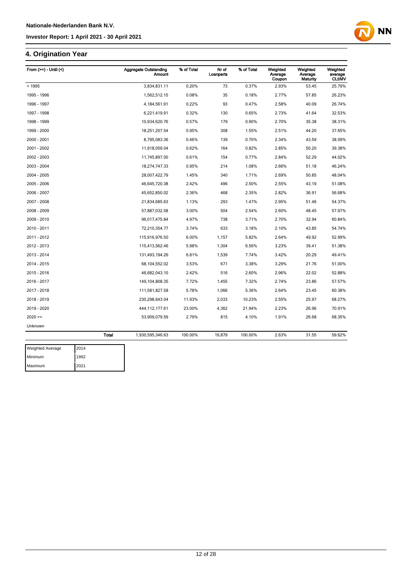## **4. Origination Year**

| From $(>=)$ - Until $($ | <b>Aggregate Outstanding</b><br><b>Amount</b> | % of Total | Nr of<br>Loanparts | % of Total | Weighted<br>Average<br>Coupon | Weighted<br>Average<br><b>Maturity</b> | Weighted<br>average<br><b>CLtIMV</b> |
|-------------------------|-----------------------------------------------|------------|--------------------|------------|-------------------------------|----------------------------------------|--------------------------------------|
| < 1995                  | 3,834,831.11                                  | 0.20%      | 73                 | 0.37%      | 2.93%                         | 53.45                                  | 25.79%                               |
| 1995 - 1996             | 1,562,512.15                                  | 0.08%      | 35                 | 0.18%      | 2.77%                         | 57.85                                  | 26.23%                               |
| 1996 - 1997             | 4,184,561.91                                  | 0.22%      | 93                 | 0.47%      | 2.58%                         | 40.09                                  | 26.74%                               |
| 1997 - 1998             | 6,221,419.91                                  | 0.32%      | 130                | 0.65%      | 2.73%                         | 41.64                                  | 32.53%                               |
| 1998 - 1999             | 10,934,620.76                                 | 0.57%      | 179                | 0.90%      | 2.70%                         | 35.38                                  | 38.31%                               |
| 1999 - 2000             | 18,251,207.54                                 | 0.95%      | 308                | 1.55%      | 2.51%                         | 44.20                                  | 37.65%                               |
| 2000 - 2001             | 8,795,083.36                                  | 0.46%      | 139                | 0.70%      | 2.34%                         | 43.59                                  | 38.09%                               |
| 2001 - 2002             | 11,918,059.04                                 | 0.62%      | 164                | 0.82%      | 2.85%                         | 50.20                                  | 39.38%                               |
| 2002 - 2003             | 11,745,897.00                                 | 0.61%      | 154                | 0.77%      | 2.84%                         | 52.29                                  | 44.02%                               |
| 2003 - 2004             | 18,274,747.33                                 | 0.95%      | 214                | 1.08%      | 2.66%                         | 51.18                                  | 46.24%                               |
| 2004 - 2005             | 28,007,422.79                                 | 1.45%      | 340                | 1.71%      | 2.69%                         | 50.85                                  | 48.04%                               |
| 2005 - 2006             | 46,645,720.38                                 | 2.42%      | 496                | 2.50%      | 2.55%                         | 43.19                                  | 51.08%                               |
| 2006 - 2007             | 45,652,850.02                                 | 2.36%      | 468                | 2.35%      | 2.82%                         | 36.91                                  | 56.68%                               |
| 2007 - 2008             | 21,834,685.63                                 | 1.13%      | 293                | 1.47%      | 2.95%                         | 51.46                                  | 54.37%                               |
| 2008 - 2009             | 57,887,032.58                                 | 3.00%      | 504                | 2.54%      | 2.60%                         | 48.45                                  | 57.97%                               |
| 2009 - 2010             | 96,017,475.84                                 | 4.97%      | 738                | 3.71%      | 2.70%                         | 32.94                                  | 60.84%                               |
| 2010 - 2011             | 72,210,354.77                                 | 3.74%      | 633                | 3.18%      | 2.10%                         | 43.85                                  | 54.74%                               |
| 2011 - 2012             | 115,916,976.50                                | 6.00%      | 1,157              | 5.82%      | 2.64%                         | 49.92                                  | 52.99%                               |
| 2012 - 2013             | 115,413,562.46                                | 5.98%      | 1,304              | 6.56%      | 3.23%                         | 39.41                                  | 51.38%                               |
| 2013 - 2014             | 131,493,194.26                                | 6.81%      | 1,539              | 7.74%      | 3.42%                         | 20.29                                  | 49.41%                               |
| 2014 - 2015             | 68,104,552.02                                 | 3.53%      | 671                | 3.38%      | 3.29%                         | 21.76                                  | 51.00%                               |
| 2015 - 2016             | 46,682,043.10                                 | 2.42%      | 516                | 2.60%      | 2.96%                         | 22.02                                  | 52.88%                               |
| 2016 - 2017             | 149, 104, 808. 35                             | 7.72%      | 1,455              | 7.32%      | 2.74%                         | 23.86                                  | 57.57%                               |
| 2017 - 2018             | 111,581,827.58                                | 5.78%      | 1,066              | 5.36%      | 2.64%                         | 23.45                                  | 60.38%                               |
| 2018 - 2019             | 230,298,643.04                                | 11.93%     | 2,033              | 10.23%     | 2.55%                         | 25.97                                  | 68.27%                               |
| 2019 - 2020             | 444, 112, 177.61                              | 23.00%     | 4,362              | 21.94%     | 2.23%                         | 26.96                                  | 70.91%                               |
| $2020 =$                | 53,909,079.59                                 | 2.79%      | 815                | 4.10%      | 1.91%                         | 26.68                                  | 68.35%                               |
| Unknown                 |                                               |            |                    |            |                               |                                        |                                      |
|                         | <b>Total</b><br>1,930,595,346.63              | 100.00%    | 19,879             | 100.00%    | 2.63%                         | 31.55                                  | 59.62%                               |



12 of 28

**NN**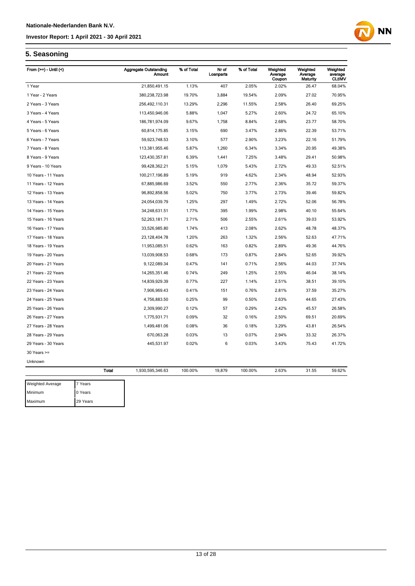# **NN**

#### **5. Seasoning**

Maximum 29 Years

| From $(>=)$ - Until $($ |              | <b>Aggregate Outstanding</b><br><b>Amount</b> | % of Total | Nr of<br>Loanparts | % of Total | Weighted<br>Average<br>Coupon | Weighted<br>Average<br>Maturity | Weighted<br>average<br><b>CLtIMV</b> |
|-------------------------|--------------|-----------------------------------------------|------------|--------------------|------------|-------------------------------|---------------------------------|--------------------------------------|
| 1 Year                  |              | 21,850,491.15                                 | 1.13%      | 407                | 2.05%      | 2.02%                         | 26.47                           | 68.04%                               |
| 1 Year - 2 Years        |              | 380,238,723.98                                | 19.70%     | 3,884              | 19.54%     | 2.09%                         | 27.02                           | 70.95%                               |
| 2 Years - 3 Years       |              | 256,492,110.31                                | 13.29%     | 2,296              | 11.55%     | 2.58%                         | 26.40                           | 69.25%                               |
| 3 Years - 4 Years       |              | 113,450,946.06                                | 5.88%      | 1,047              | 5.27%      | 2.60%                         | 24.72                           | 65.10%                               |
| 4 Years - 5 Years       |              | 186,781,974.09                                | 9.67%      | 1,758              | 8.84%      | 2.68%                         | 23.77                           | 58.70%                               |
| 5 Years - 6 Years       |              | 60,814,175.85                                 | 3.15%      | 690                | 3.47%      | 2.86%                         | 22.39                           | 53.71%                               |
| 6 Years - 7 Years       |              | 59,923,748.53                                 | 3.10%      | 577                | 2.90%      | 3.23%                         | 22.16                           | 51.79%                               |
| 7 Years - 8 Years       |              | 113,381,955.46                                | 5.87%      | 1,260              | 6.34%      | 3.34%                         | 20.95                           | 49.38%                               |
| 8 Years - 9 Years       |              | 123,430,357.81                                | 6.39%      | 1,441              | 7.25%      | 3.48%                         | 29.41                           | 50.98%                               |
| 9 Years - 10 Years      |              | 99,428,362.21                                 | 5.15%      | 1,079              | 5.43%      | 2.72%                         | 49.33                           | 52.51%                               |
| 10 Years - 11 Years     |              | 100,217,196.89                                | 5.19%      | 919                | 4.62%      | 2.34%                         | 48.94                           | 52.93%                               |
| 11 Years - 12 Years     |              | 67,885,986.69                                 | 3.52%      | 550                | 2.77%      | 2.36%                         | 35.72                           | 59.37%                               |
| 12 Years - 13 Years     |              | 96,892,858.56                                 | 5.02%      | 750                | 3.77%      | 2.73%                         | 39.46                           | 59.82%                               |
| 13 Years - 14 Years     |              | 24,054,039.79                                 | 1.25%      | 297                | 1.49%      | 2.72%                         | 52.06                           | 56.78%                               |
| 14 Years - 15 Years     |              | 34,248,631.51                                 | 1.77%      | 395                | 1.99%      | 2.98%                         | 40.10                           | 55.64%                               |
| 15 Years - 16 Years     |              | 52,263,181.71                                 | 2.71%      | 506                | 2.55%      | 2.61%                         | 39.03                           | 53.92%                               |
| 16 Years - 17 Years     |              | 33,526,985.80                                 | 1.74%      | 413                | 2.08%      | 2.62%                         | 48.78                           | 48.37%                               |
| 17 Years - 18 Years     |              | 23, 128, 404. 78                              | 1.20%      | 263                | 1.32%      | 2.56%                         | 52.63                           | 47.71%                               |
| 18 Years - 19 Years     |              | 11,953,085.51                                 | 0.62%      | 163                | 0.82%      | 2.89%                         | 49.36                           | 44.76%                               |
| 19 Years - 20 Years     |              | 13,039,908.53                                 | 0.68%      | 173                | 0.87%      | 2.84%                         | 52.65                           | 39.92%                               |
| 20 Years - 21 Years     |              | 9,122,089.34                                  | 0.47%      | 141                | 0.71%      | 2.56%                         | 44.03                           | 37.74%                               |
| 21 Years - 22 Years     |              | 14,265,351.46                                 | 0.74%      | 249                | 1.25%      | 2.55%                         | 46.04                           | 38.14%                               |
| 22 Years - 23 Years     |              | 14,839,929.39                                 | 0.77%      | 227                | 1.14%      | 2.51%                         | 38.51                           | 39.10%                               |
| 23 Years - 24 Years     |              | 7,906,969.43                                  | 0.41%      | 151                | 0.76%      | 2.81%                         | 37.59                           | 35.27%                               |
| 24 Years - 25 Years     |              | 4,756,883.50                                  | 0.25%      | 99                 | 0.50%      | 2.63%                         | 44.65                           | 27.43%                               |
| 25 Years - 26 Years     |              | 2,309,990.27                                  | 0.12%      | 57                 | 0.29%      | 2.42%                         | 45.57                           | 26.58%                               |
| 26 Years - 27 Years     |              | 1,775,931.71                                  | 0.09%      | 32                 | 0.16%      | 2.50%                         | 69.51                           | 20.69%                               |
| 27 Years - 28 Years     |              | 1,499,481.06                                  | 0.08%      | 36                 | 0.18%      | 3.29%                         | 43.81                           | 26.54%                               |
| 28 Years - 29 Years     |              | 670,063.28                                    | 0.03%      | 13                 | 0.07%      | 2.94%                         | 33.32                           | 26.37%                               |
| 29 Years - 30 Years     |              | 445,531.97                                    | 0.02%      | 6                  | 0.03%      | 3.43%                         | 75.43                           | 41.72%                               |
| $30$ Years $>=$         |              |                                               |            |                    |            |                               |                                 |                                      |
| Unknown                 |              |                                               |            |                    |            |                               |                                 |                                      |
|                         | <b>Total</b> | 1,930,595,346.63                              | 100.00%    | 19,879             | 100.00%    | 2.63%                         | 31.55                           | 59.62%                               |
| Weighted Average        | 7 Years      |                                               |            |                    |            |                               |                                 |                                      |
| Minimum                 | 0 Years      |                                               |            |                    |            |                               |                                 |                                      |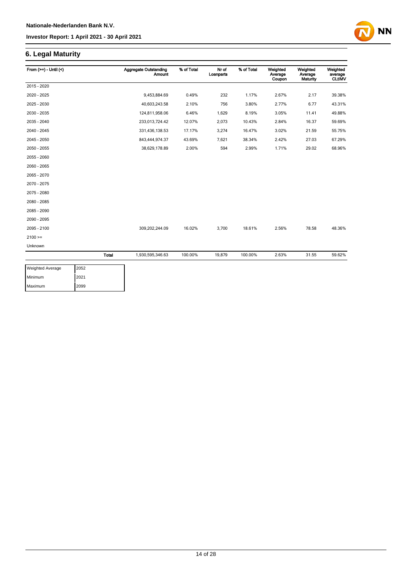## **6. Legal Maturity**

| From $(>=) -$ Until $($ |              | <b>Aggregate Outstanding</b><br><b>Amount</b> | % of Total | Nr of<br>Loanparts | % of Total | Weighted<br>Average<br>Coupon | Weighted<br>Average<br><b>Maturity</b> | Weighted<br>average<br><b>CLtIMV</b> |
|-------------------------|--------------|-----------------------------------------------|------------|--------------------|------------|-------------------------------|----------------------------------------|--------------------------------------|
| 2015 - 2020             |              |                                               |            |                    |            |                               |                                        |                                      |
| 2020 - 2025             |              | 9,453,884.69                                  | 0.49%      | 232                | 1.17%      | 2.67%                         | 2.17                                   | 39.38%                               |
| 2025 - 2030             |              | 40,603,243.58                                 | 2.10%      | 756                | 3.80%      | 2.77%                         | 6.77                                   | 43.31%                               |
| 2030 - 2035             |              | 124,811,958.06                                | 6.46%      | 1,629              | 8.19%      | 3.05%                         | 11.41                                  | 49.88%                               |
| 2035 - 2040             |              | 233,013,724.42                                | 12.07%     | 2,073              | 10.43%     | 2.84%                         | 16.37                                  | 59.69%                               |
| 2040 - 2045             |              | 331,436,138.53                                | 17.17%     | 3,274              | 16.47%     | 3.02%                         | 21.59                                  | 55.75%                               |
| 2045 - 2050             |              | 843,444,974.37                                | 43.69%     | 7,621              | 38.34%     | 2.42%                         | 27.03                                  | 67.29%                               |
| 2050 - 2055             |              | 38,629,178.89                                 | 2.00%      | 594                | 2.99%      | 1.71%                         | 29.02                                  | 68.96%                               |
| 2055 - 2060             |              |                                               |            |                    |            |                               |                                        |                                      |
| 2060 - 2065             |              |                                               |            |                    |            |                               |                                        |                                      |
| 2065 - 2070             |              |                                               |            |                    |            |                               |                                        |                                      |
| 2070 - 2075             |              |                                               |            |                    |            |                               |                                        |                                      |
| 2075 - 2080             |              |                                               |            |                    |            |                               |                                        |                                      |
| 2080 - 2085             |              |                                               |            |                    |            |                               |                                        |                                      |
| 2085 - 2090             |              |                                               |            |                    |            |                               |                                        |                                      |
| 2090 - 2095             |              |                                               |            |                    |            |                               |                                        |                                      |
| 2095 - 2100             |              | 309,202,244.09                                | 16.02%     | 3,700              | 18.61%     | 2.56%                         | 78.58                                  | 48.36%                               |
| $2100 =$                |              |                                               |            |                    |            |                               |                                        |                                      |
| Unknown                 |              |                                               |            |                    |            |                               |                                        |                                      |
|                         | <b>Total</b> | 1,930,595,346.63                              | 100.00%    | 19,879             | 100.00%    | 2.63%                         | 31.55                                  | 59.62%                               |

**NN** 

| <b>Weighted Average</b> | 2052 |
|-------------------------|------|
| Minimum                 | 2021 |
| Maximum                 | 2099 |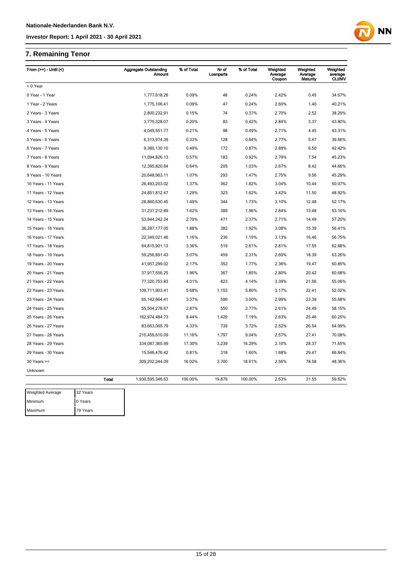## **7. Remaining Tenor**

Maximum 79 Years

| From $(>=)$ - Until $($ |              | <b>Aggregate Outstanding</b><br>Amount | % of Total | Nr of<br>Loanparts | % of Total | Weighted<br>Average<br>Coupon | Weighted<br>Average<br>Maturity | Weighted<br>average<br><b>CLtIMV</b> |
|-------------------------|--------------|----------------------------------------|------------|--------------------|------------|-------------------------------|---------------------------------|--------------------------------------|
| < 0 Year                |              |                                        |            |                    |            |                               |                                 |                                      |
| 0 Year - 1 Year         |              | 1,777,618.26                           | 0.09%      | 48                 | 0.24%      | 2.42%                         | 0.45                            | 34.67%                               |
| 1 Year - 2 Years        |              | 1,775,106.41                           | 0.09%      | 47                 | 0.24%      | 2.60%                         | 1.40                            | 40.21%                               |
| 2 Years - 3 Years       |              | 2,800,232.91                           | 0.15%      | 74                 | 0.37%      | 2.70%                         | 2.52                            | 38.29%                               |
| 3 Years - 4 Years       |              | 3,775,328.07                           | 0.20%      | 83                 | 0.42%      | 2.84%                         | 3.37                            | 43.80%                               |
| 4 Years - 5 Years       |              | 4,049,551.77                           | 0.21%      | 98                 | 0.49%      | 2.71%                         | 4.45                            | 43.31%                               |
| 5 Years - 6 Years       |              | 6,313,974.39                           | 0.33%      | 128                | 0.64%      | 2.77%                         | 5.47                            | 39.66%                               |
| 6 Years - 7 Years       |              | 9,380,130.10                           | 0.49%      | 172                | 0.87%      | 2.89%                         | 6.50                            | 42.42%                               |
| 7 Years - 8 Years       |              | 11,094,826.13                          | 0.57%      | 183                | 0.92%      | 2.79%                         | 7.54                            | 45.23%                               |
| 8 Years - 9 Years       |              | 12,395,820.64                          | 0.64%      | 205                | 1.03%      | 2.67%                         | 8.42                            | 44.66%                               |
| 9 Years - 10 Years      |              | 20,648,963.11                          | 1.07%      | 293                | 1.47%      | 2.75%                         | 9.56                            | 45.29%                               |
| 10 Years - 11 Years     |              | 26,493,203.02                          | 1.37%      | 362                | 1.82%      | 3.04%                         | 10.44                           | 50.07%                               |
| 11 Years - 12 Years     |              | 24,851,812.47                          | 1.29%      | 323                | 1.62%      | 3.42%                         | 11.50                           | 48.92%                               |
| 12 Years - 13 Years     |              | 28,860,630.45                          | 1.49%      | 344                | 1.73%      | 3.10%                         | 12.48                           | 52.17%                               |
| 13 Years - 14 Years     |              | 31,237,212.89                          | 1.62%      | 389                | 1.96%      | 2.84%                         | 13.48                           | 53.10%                               |
| 14 Years - 15 Years     |              | 53,944,242.24                          | 2.79%      | 471                | 2.37%      | 2.71%                         | 14.49                           | 57.20%                               |
| 15 Years - 16 Years     |              | 36,287,177.05                          | 1.88%      | 382                | 1.92%      | 3.08%                         | 15.39                           | 56.41%                               |
| 16 Years - 17 Years     |              | 22,349,021.46                          | 1.16%      | 236                | 1.19%      | 3.13%                         | 16.46                           | 56.75%                               |
| 17 Years - 18 Years     |              | 64,815,901.13                          | 3.36%      | 519                | 2.61%      | 2.81%                         | 17.55                           | 62.88%                               |
| 18 Years - 19 Years     |              | 59,256,891.43                          | 3.07%      | 459                | 2.31%      | 2.60%                         | 18.39                           | 63.26%                               |
| 19 Years - 20 Years     |              | 41,957,299.02                          | 2.17%      | 352                | 1.77%      | 2.36%                         | 19.47                           | 60.85%                               |
| 20 Years - 21 Years     |              | 37,917,556.25                          | 1.96%      | 367                | 1.85%      | 2.80%                         | 20.42                           | 60.68%                               |
| 21 Years - 22 Years     |              | 77,320,753.83                          | 4.01%      | 823                | 4.14%      | 3.39%                         | 21.56                           | 55.06%                               |
| 22 Years - 23 Years     |              | 109,711,903.41                         | 5.68%      | 1,153              | 5.80%      | 3.17%                         | 22.41                           | 52.02%                               |
| 23 Years - 24 Years     |              | 65, 142, 664. 41                       | 3.37%      | 596                | 3.00%      | 2.99%                         | 23.39                           | 55.68%                               |
| 24 Years - 25 Years     |              | 55,504,278.67                          | 2.87%      | 550                | 2.77%      | 2.61%                         | 24.49                           | 58.15%                               |
| 25 Years - 26 Years     |              | 162,974,484.73                         | 8.44%      | 1,429              | 7.19%      | 2.63%                         | 25.46                           | 60.25%                               |
| 26 Years - 27 Years     |              | 83,663,065.79                          | 4.33%      | 739                | 3.72%      | 2.52%                         | 26.54                           | 64.99%                               |
| 27 Years - 28 Years     |              | 215,459,610.09                         | 11.16%     | 1,797              | 9.04%      | 2.57%                         | 27.41                           | 70.08%                               |
| 28 Years - 29 Years     |              | 334,087,365.99                         | 17.30%     | 3,239              | 16.29%     | 2.10%                         | 28.37                           | 71.65%                               |
| 29 Years - 30 Years     |              | 15,546,476.42                          | 0.81%      | 318                | 1.60%      | 1.68%                         | 29.47                           | 66.84%                               |
| $30$ Years $>=$         |              | 309,202,244.09                         | 16.02%     | 3,700              | 18.61%     | 2.56%                         | 78.58                           | 48.36%                               |
| Unknown                 |              |                                        |            |                    |            |                               |                                 |                                      |
|                         | <b>Total</b> | 1,930,595,346.63                       | 100.00%    | 19,879             | 100.00%    | 2.63%                         | 31.55                           | 59.62%                               |
| <b>Weighted Average</b> | 32 Years     |                                        |            |                    |            |                               |                                 |                                      |
| Minimum                 | 0 Years      |                                        |            |                    |            |                               |                                 |                                      |

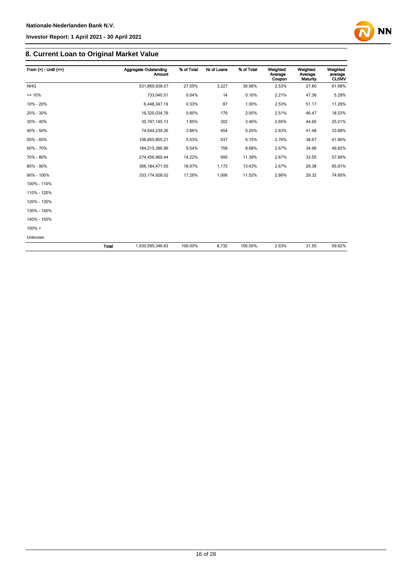

## **8. Current Loan to Original Market Value**

| From $(>)$ - Until $(<=)$   |       | <b>Aggregate Outstanding</b><br><b>Amount</b> | % of Total | Nr of Loans | % of Total | Weighted<br>Average<br>Coupon | Weighted<br>Average<br>Maturity | Weighted<br>average<br><b>CLtIMV</b> |
|-----------------------------|-------|-----------------------------------------------|------------|-------------|------------|-------------------------------|---------------------------------|--------------------------------------|
| <b>NHG</b>                  |       | 531,869,938.07                                | 27.55%     | 3,227       | 36.96%     | 2.53%                         | 27.80                           | 61.68%                               |
| $= 10%$                     |       | 733,040.51                                    | 0.04%      | 14          | 0.16%      | 2.21%                         | 47.36                           | 5.29%                                |
| 10% - 20%                   |       | 6,448,347.19                                  | 0.33%      | 87          | 1.00%      | 2.53%                         | 51.17                           | 11.29%                               |
| 20% - 30%                   |       | 16,320,034.79                                 | 0.85%      | 179         | 2.05%      | 2.51%                         | 46.47                           | 18.53%                               |
| 30% - 40%                   |       | 35,797,145.13                                 | 1.85%      | 302         | 3.46%      | 2.65%                         | 44.65                           | 25.21%                               |
| 40% - 50%                   |       | 74,544,239.26                                 | 3.86%      | 454         | 5.20%      | 2.63%                         | 41.48                           | 33.68%                               |
| 50% - 60%<br>106,850,855.21 |       | 5.53%                                         | 537        | 6.15%       | 2.70%      | 38.67                         | 41.90%                          |                                      |
| 60% - 70%                   |       | 184,215,386.96                                | 9.54%      | 758         | 8.68%      | 2.67%                         | 34.96                           | 49.83%                               |
| 70% - 80%                   |       | 274,456,960.44                                | 14.22%     | 995         | 11.39%     | 2.67%                         | 33.55                           | 57.69%                               |
| 80% - 90%                   |       | 366, 184, 471.05                              | 18.97%     | 1,173       | 13.43%     | 2.67%                         | 29.38                           | 65.91%                               |
| 90% - 100%                  |       | 333, 174, 928.02                              | 17.26%     | 1,006       | 11.52%     | 2.66%                         | 29.32                           | 74.69%                               |
| 100% - 110%                 |       |                                               |            |             |            |                               |                                 |                                      |
| 110% - 120%                 |       |                                               |            |             |            |                               |                                 |                                      |
| 120% - 130%                 |       |                                               |            |             |            |                               |                                 |                                      |
| 130% - 140%                 |       |                                               |            |             |            |                               |                                 |                                      |
| 140% - 150%                 |       |                                               |            |             |            |                               |                                 |                                      |
| $150\% >$                   |       |                                               |            |             |            |                               |                                 |                                      |
| Unknown                     |       |                                               |            |             |            |                               |                                 |                                      |
|                             | Total | 1,930,595,346.63                              | 100.00%    | 8,732       | 100.00%    | 2.63%                         | 31.55                           | 59.62%                               |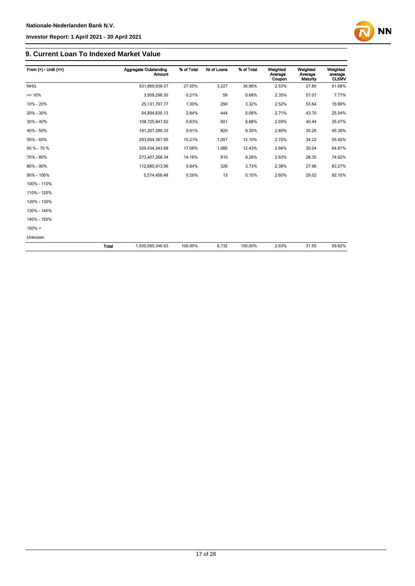

#### **9. Current Loan To Indexed Market Value**

| From $(>) -$ Until $(<=)$ |              | <b>Aggregate Outstanding</b><br>Amount | % of Total | Nr of Loans | % of Total | Weighted<br>Average<br>Coupon | Weighted<br>Average<br><b>Maturity</b> | Weighted<br>average<br><b>CLtIMV</b> |
|---------------------------|--------------|----------------------------------------|------------|-------------|------------|-------------------------------|----------------------------------------|--------------------------------------|
| <b>NHG</b>                |              | 531,869,938.07                         | 27.55%     | 3,227       | 36.96%     | 2.53%                         | 27.80                                  | 61.68%                               |
| $= 10%$                   |              | 3,959,296.30                           | 0.21%      | 59          | 0.68%      | 2.35%                         | 57.07                                  | 7.77%                                |
| 10% - 20%                 |              | 25, 131, 797. 77                       | 1.30%      | 290         | 3.32%      | 2.52%                         | 53.64                                  | 15.69%                               |
| 20% - 30%                 |              | 54,894,830.13                          | 2.84%      | 444         | 5.08%      | 2.71%                         | 43.70                                  | 25.54%                               |
| 30% - 40%                 |              | 108,725,847.62                         | 5.63%      | 601         | 6.88%      | 2.69%                         | 40.44                                  | 35.47%                               |
| 40% - 50%                 |              | 191,307,286.33                         | 9.91%      | 820         | 9.39%      | 2.80%                         | 35.26                                  | 45.39%                               |
| 50% - 60%                 |              | 293,604,367.95                         | 15.21%     | 1,057       | 12.10%     | 2.72%                         | 34.22                                  | 55.42%                               |
| 60 % - 70 %               |              | 329,434,343.68                         | 17.06%     | 1,085       | 12.43%     | 2.66%                         | 30.04                                  | 64.87%                               |
| 70% - 80%                 |              | 273,407,268.34                         | 14.16%     | 810         | 9.28%      | 2.63%                         | 28.35                                  | 74.62%                               |
| 80% - 90%                 |              | 112,685,913.96                         | 5.84%      | 326         | 3.73%      | 2.38%                         | 27.96                                  | 83.27%                               |
| 90% - 100%                |              | 5,574,456.48                           | 0.29%      | 13          | 0.15%      | 2.60%                         | 29.02                                  | 92.10%                               |
| 100% - 110%               |              |                                        |            |             |            |                               |                                        |                                      |
| 110% - 120%               |              |                                        |            |             |            |                               |                                        |                                      |
| 120% - 130%               |              |                                        |            |             |            |                               |                                        |                                      |
| 130% - 140%               |              |                                        |            |             |            |                               |                                        |                                      |
| 140% - 150%               |              |                                        |            |             |            |                               |                                        |                                      |
| $150\% >$                 |              |                                        |            |             |            |                               |                                        |                                      |
| Unknown                   |              |                                        |            |             |            |                               |                                        |                                      |
|                           | <b>Total</b> | 1,930,595,346.63                       | 100.00%    | 8,732       | 100.00%    | 2.63%                         | 31.55                                  | 59.62%                               |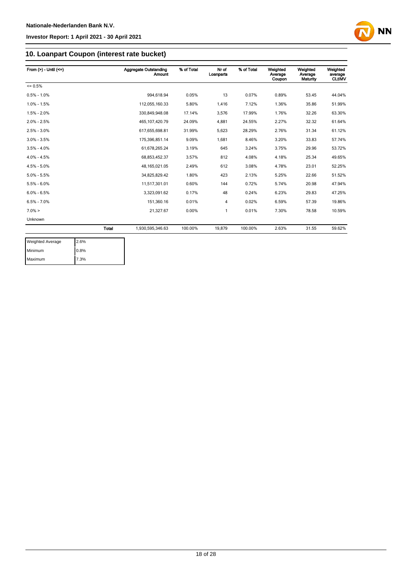

## **10. Loanpart Coupon (interest rate bucket)**

| From $(>) -$ Until $(<=)$            |              | <b>Aggregate Outstanding</b><br><b>Amount</b> | % of Total | Nr of<br>Loanparts | % of Total | Weighted<br>Average<br>Coupon | Weighted<br>Average<br>Maturity | Weighted<br>average<br><b>CLtIMV</b> |
|--------------------------------------|--------------|-----------------------------------------------|------------|--------------------|------------|-------------------------------|---------------------------------|--------------------------------------|
| $= 0.5%$                             |              |                                               |            |                    |            |                               |                                 |                                      |
| $0.5\% - 1.0\%$                      |              | 994.618.94                                    | 0.05%      | 13                 | 0.07%      | 0.89%                         | 53.45                           | 44.04%                               |
| $1.0\% - 1.5\%$                      |              | 112,055,160.33                                | 5.80%      | 1.416              | 7.12%      | 1.36%                         | 35.86                           | 51.99%                               |
| $1.5\% - 2.0\%$                      |              | 330,849,948.08                                | 17.14%     | 3,576              | 17.99%     | 1.76%                         | 32.26                           | 63.30%                               |
| $2.0\% - 2.5\%$<br>465, 107, 420. 79 |              | 24.09%                                        | 4,881      | 24.55%             | 2.27%      | 32.32                         | 61.64%                          |                                      |
| $2.5\% - 3.0\%$<br>617,655,698.81    |              | 31.99%                                        | 5,623      | 28.29%             | 2.76%      | 31.34                         | 61.12%                          |                                      |
| $3.0\% - 3.5\%$<br>175,396,851.14    |              | 9.09%                                         | 1,681      | 8.46%              | 3.20%      | 33.83                         | 57.74%                          |                                      |
| $3.5\% - 4.0\%$                      |              | 61,678,265.24                                 | 3.19%      | 645                | 3.24%      | 3.75%                         | 29.96                           | 53.72%                               |
| $4.0\% - 4.5\%$                      |              | 68,853,452.37                                 | 3.57%      | 812                | 4.08%      | 4.18%                         | 25.34                           | 49.65%                               |
| $4.5\% - 5.0\%$                      |              | 48, 165, 021.05                               | 2.49%      | 612                | 3.08%      | 4.78%                         | 23.01                           | 52.25%                               |
| $5.0\% - 5.5\%$                      |              | 34,825,829.42                                 | 1.80%      | 423                | 2.13%      | 5.25%                         | 22.66                           | 51.52%                               |
| $5.5\% - 6.0\%$                      |              | 11,517,301.01                                 | 0.60%      | 144                | 0.72%      | 5.74%                         | 20.98                           | 47.94%                               |
| $6.0\% - 6.5\%$                      |              | 3,323,091.62                                  | 0.17%      | 48                 | 0.24%      | 6.23%                         | 29.83                           | 47.25%                               |
| $6.5\% - 7.0\%$                      |              | 151,360.16                                    | 0.01%      | 4                  | 0.02%      | 6.59%                         | 57.39                           | 19.86%                               |
| $7.0\% >$                            |              | 21,327.67                                     | 0.00%      | 1                  | 0.01%      | 7.30%                         | 78.58                           | 10.59%                               |
| Unknown                              |              |                                               |            |                    |            |                               |                                 |                                      |
|                                      | <b>Total</b> | 1,930,595,346.63                              | 100.00%    | 19,879             | 100.00%    | 2.63%                         | 31.55                           | 59.62%                               |

| <b>Weighted Average</b> | 2.6% |
|-------------------------|------|
| Minimum                 | 0.8% |
| Maximum                 | 7.3% |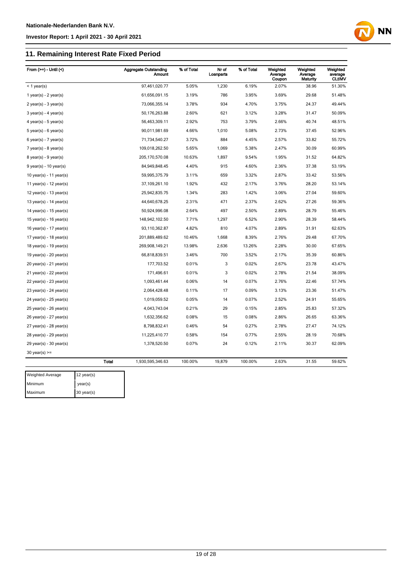Maximum 30 year(s)

#### **Investor Report: 1 April 2021 - 30 April 2021**

## **11. Remaining Interest Rate Fixed Period**

| From $(>=)$ - Until $($       |              | <b>Aggregate Outstanding</b><br>Amount | % of Total | Nr of<br>Loanparts | % of Total | Weighted<br>Average<br>Coupon | Weighted<br>Average<br>Maturity | Weighted<br>average<br><b>CLUMV</b> |
|-------------------------------|--------------|----------------------------------------|------------|--------------------|------------|-------------------------------|---------------------------------|-------------------------------------|
| $<$ 1 year(s)                 |              | 97,461,020.77                          | 5.05%      | 1,230              | 6.19%      | 2.07%                         | 38.96                           | 51.30%                              |
| 1 year(s) - $2$ year(s)       |              | 61,656,091.15                          | 3.19%      | 786                | 3.95%      | 3.69%                         | 29.68                           | 51.48%                              |
| $2$ year(s) - $3$ year(s)     |              | 73,066,355.14                          | 3.78%      | 934                | 4.70%      | 3.75%                         | 24.37                           | 49.44%                              |
| $3 \text{ years}$ - 4 year(s) |              | 50,176,263.88                          | 2.60%      | 621                | 3.12%      | 3.28%                         | 31.47                           | 50.09%                              |
| 4 year(s) - 5 year(s)         |              | 56,463,309.11                          | 2.92%      | 753                | 3.79%      | 2.66%                         | 40.74                           | 48.51%                              |
| $5$ year(s) - 6 year(s)       |              | 90,011,981.69                          | 4.66%      | 1,010              | 5.08%      | 2.73%                         | 37.45                           | 52.96%                              |
| $6$ year(s) - 7 year(s)       |              | 71,734,540.27                          | 3.72%      | 884                | 4.45%      | 2.57%                         | 33.82                           | 55.72%                              |
| $7$ year(s) - 8 year(s)       |              | 109,018,262.50                         | 5.65%      | 1,069              | 5.38%      | 2.47%                         | 30.09                           | 60.99%                              |
| $8$ year(s) - $9$ year(s)     |              | 205, 170, 570.08                       | 10.63%     | 1,897              | 9.54%      | 1.95%                         | 31.52                           | 64.82%                              |
| $9$ year(s) - 10 year(s)      |              | 84,949,848.45                          | 4.40%      | 915                | 4.60%      | 2.36%                         | 37.38                           | 53.19%                              |
| 10 year(s) - 11 year(s)       |              | 59,995,375.79                          | 3.11%      | 659                | 3.32%      | 2.87%                         | 33.42                           | 53.56%                              |
| 11 year(s) - $12$ year(s)     |              | 37,109,261.10                          | 1.92%      | 432                | 2.17%      | 3.76%                         | 28.20                           | 53.14%                              |
| 12 year(s) - 13 year(s)       |              | 25,942,835.75                          | 1.34%      | 283                | 1.42%      | 3.06%                         | 27.04                           | 59.60%                              |
| 13 year(s) - $14$ year(s)     |              | 44,640,678.25                          | 2.31%      | 471                | 2.37%      | 2.62%                         | 27.26                           | 59.36%                              |
| 14 year(s) - $15$ year(s)     |              | 50,924,996.08                          | 2.64%      | 497                | 2.50%      | 2.89%                         | 28.79                           | 55.46%                              |
| 15 year(s) - 16 year(s)       |              | 148,942,102.50                         | 7.71%      | 1,297              | 6.52%      | 2.90%                         | 28.39                           | 58.44%                              |
| 16 year(s) - 17 year(s)       |              | 93,110,362.87                          | 4.82%      | 810                | 4.07%      | 2.89%                         | 31.91                           | 62.63%                              |
| 17 year(s) - 18 year(s)       |              | 201,889,489.62                         | 10.46%     | 1,668              | 8.39%      | 2.76%                         | 29.48                           | 67.70%                              |
| 18 year(s) - 19 year(s)       |              | 269,908,149.21                         | 13.98%     | 2,636              | 13.26%     | 2.28%                         | 30.00                           | 67.65%                              |
| 19 year(s) - 20 year(s)       |              | 66,818,839.51                          | 3.46%      | 700                | 3.52%      | 2.17%                         | 35.39                           | 60.86%                              |
| 20 year(s) - 21 year(s)       |              | 177,703.52                             | 0.01%      | 3                  | 0.02%      | 2.67%                         | 23.78                           | 43.47%                              |
| $21$ year(s) - 22 year(s)     |              | 171,496.61                             | 0.01%      | 3                  | 0.02%      | 2.78%                         | 21.54                           | 38.09%                              |
| $22$ year(s) - $23$ year(s)   |              | 1,093,461.44                           | 0.06%      | 14                 | 0.07%      | 2.76%                         | 22.46                           | 57.74%                              |
| $23$ year(s) - $24$ year(s)   |              | 2,064,428.48                           | 0.11%      | 17                 | 0.09%      | 3.13%                         | 23.36                           | 51.47%                              |
| 24 year(s) - 25 year(s)       |              | 1,019,059.52                           | 0.05%      | 14                 | 0.07%      | 2.52%                         | 24.91                           | 55.65%                              |
| 25 year(s) - 26 year(s)       |              | 4,043,743.04                           | 0.21%      | 29                 | 0.15%      | 2.85%                         | 25.83                           | 57.32%                              |
| 26 year(s) - 27 year(s)       |              | 1,632,356.62                           | 0.08%      | 15                 | 0.08%      | 2.86%                         | 26.65                           | 63.36%                              |
| 27 year(s) - 28 year(s)       |              | 8,798,832.41                           | 0.46%      | 54                 | 0.27%      | 2.78%                         | 27.47                           | 74.12%                              |
| $28$ year(s) - $29$ year(s)   |              | 11,225,410.77                          | 0.58%      | 154                | 0.77%      | 2.55%                         | 28.19                           | 70.68%                              |
| $29$ year(s) - 30 year(s)     |              | 1,378,520.50                           | 0.07%      | 24                 | 0.12%      | 2.11%                         | 30.37                           | 62.09%                              |
| $30$ year(s) $>=$             |              |                                        |            |                    |            |                               |                                 |                                     |
|                               | <b>Total</b> | 1,930,595,346.63                       | 100.00%    | 19,879             | 100.00%    | 2.63%                         | 31.55                           | 59.62%                              |
| <b>Weighted Average</b>       | 12 year(s)   |                                        |            |                    |            |                               |                                 |                                     |
| Minimum                       |              |                                        |            |                    |            |                               |                                 |                                     |
|                               | year(s)      |                                        |            |                    |            |                               |                                 |                                     |

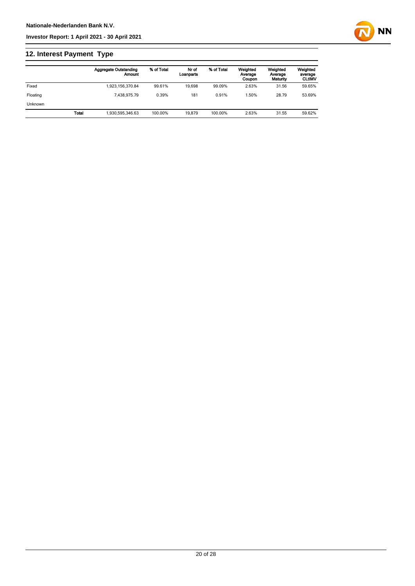## **12. Interest Payment Type**

|                |              | <b>Aggregate Outstanding</b><br>Amount | % of Total | Nr of<br>Loanparts | % of Total | Weighted<br>Average<br>Coupon | Weighted<br>Average<br>Maturity | Weighted<br>average<br><b>CLtIMV</b> |
|----------------|--------------|----------------------------------------|------------|--------------------|------------|-------------------------------|---------------------------------|--------------------------------------|
| Fixed          |              | 1,923,156,370.84                       | 99.61%     | 19.698             | 99.09%     | 2.63%                         | 31.56                           | 59.65%                               |
| Floating       |              | 7.438.975.79                           | 0.39%      | 181                | 0.91%      | .50%                          | 28.79                           | 53.69%                               |
| <b>Unknown</b> |              |                                        |            |                    |            |                               |                                 |                                      |
|                | <b>Total</b> | 1.930.595.346.63                       | 100.00%    | 19.879             | 100.00%    | 2.63%                         | 31.55                           | 59.62%                               |

**NN**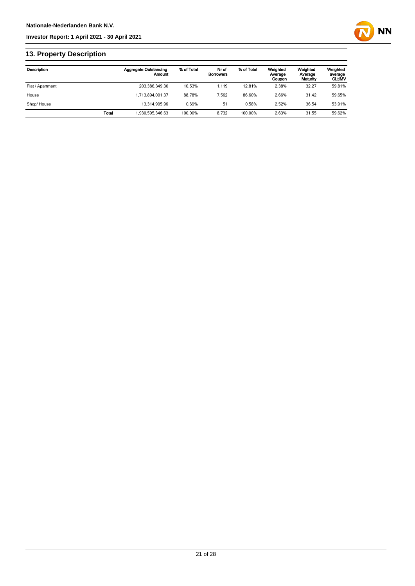

## **13. Property Description**

| Description      |              | <b>Aggregate Outstanding</b><br>Amount | % of Total | Nr of<br><b>Borrowers</b> | % of Total | Weighted<br>Average<br>Coupon | Weighted<br>Average<br>Maturity | Weighted<br>average<br><b>CLUMV</b> |
|------------------|--------------|----------------------------------------|------------|---------------------------|------------|-------------------------------|---------------------------------|-------------------------------------|
| Flat / Apartment |              | 203,386,349.30                         | 10.53%     | 1.119                     | 12.81%     | 2.38%                         | 32.27                           | 59.81%                              |
| House            |              | 1.713.894.001.37                       | 88.78%     | 7.562                     | 86.60%     | 2.66%                         | 31.42                           | 59.65%                              |
| Shop/House       |              | 13.314.995.96                          | 0.69%      | 51                        | 0.58%      | 2.52%                         | 36.54                           | 53.91%                              |
|                  | <b>Total</b> | 1.930.595.346.63                       | 100.00%    | 8.732                     | 100.00%    | 2.63%                         | 31.55                           | 59.62%                              |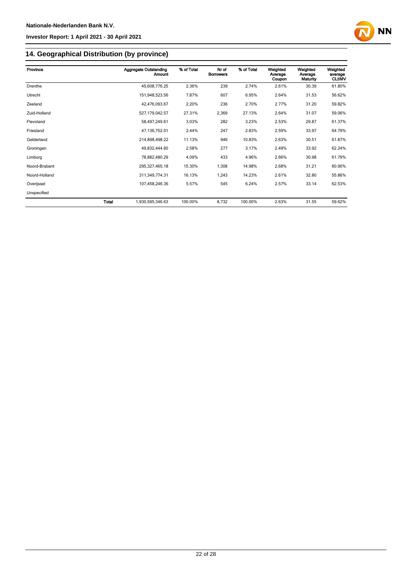

## **14. Geographical Distribution (by province)**

| Province      | <b>Aggregate Outstanding</b><br><b>Amount</b> | % of Total | Nr of<br><b>Borrowers</b> | % of Total | Weighted<br>Average<br>Coupon | Weighted<br>Average<br>Maturity | Weighted<br>average<br><b>CLtIMV</b> |
|---------------|-----------------------------------------------|------------|---------------------------|------------|-------------------------------|---------------------------------|--------------------------------------|
| Drenthe       | 45,608,776.25                                 | 2.36%      | 239                       | 2.74%      | 2.61%                         | 30.39                           | 61.80%                               |
| Utrecht       | 151,948,523.56                                | 7.87%      | 607                       | 6.95%      | 2.64%                         | 31.53                           | 56.62%                               |
| Zeeland       | 42,476,093.67                                 | 2.20%      | 236                       | 2.70%      | 2.77%                         | 31.20                           | 59.82%                               |
| Zuid-Holland  | 527,179,042.57                                | 27.31%     | 2,369                     | 27.13%     | 2.64%                         | 31.07                           | 59.06%                               |
| Flevoland     | 58,497,249.61                                 | 3.03%      | 282                       | 3.23%      | 2.53%                         | 29.87                           | 61.37%                               |
| Friesland     | 47,136,752.01                                 | 2.44%      | 247                       | 2.83%      | 2.59%                         | 33.97                           | 64.79%                               |
| Gelderland    | 214,898,498.22                                | 11.13%     | 946                       | 10.83%     | 2.63%                         | 30.51                           | 61.87%                               |
| Groningen     | 49,832,444.60                                 | 2.58%      | 277                       | 3.17%      | 2.49%                         | 33.92                           | 62.24%                               |
| Limburg       | 78,882,480.29                                 | 4.09%      | 433                       | 4.96%      | 2.66%                         | 30.98                           | 61.79%                               |
| Noord-Brabant | 295, 327, 465. 18                             | 15.30%     | 1,308                     | 14.98%     | 2.68%                         | 31.21                           | 60.90%                               |
| Noord-Holland | 311,349,774.31                                | 16.13%     | 1,243                     | 14.23%     | 2.61%                         | 32.80                           | 55.86%                               |
| Overijssel    | 107,458,246.36                                | 5.57%      | 545                       | 6.24%      | 2.57%                         | 33.14                           | 62.53%                               |
| Unspecified   |                                               |            |                           |            |                               |                                 |                                      |
| Total         | 1,930,595,346.63                              | 100.00%    | 8,732                     | 100.00%    | 2.63%                         | 31.55                           | 59.62%                               |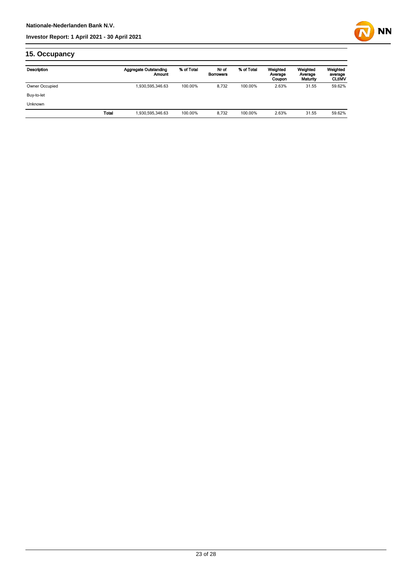

## **15. Occupancy**

| Description    |       | <b>Aggregate Outstanding</b><br>Amount | % of Total | Nr of<br><b>Borrowers</b> | % of Total | Weighted<br>Average<br>Coupon | Weighted<br>Average<br>Maturity | Weighted<br>average<br><b>CLUMV</b> |
|----------------|-------|----------------------------------------|------------|---------------------------|------------|-------------------------------|---------------------------------|-------------------------------------|
| Owner Occupied |       | 1,930,595,346.63                       | 100.00%    | 8.732                     | 100.00%    | 2.63%                         | 31.55                           | 59.62%                              |
| Buy-to-let     |       |                                        |            |                           |            |                               |                                 |                                     |
| <b>Unknown</b> |       |                                        |            |                           |            |                               |                                 |                                     |
|                | Total | 1,930,595,346.63                       | 100.00%    | 8.732                     | 100.00%    | 2.63%                         | 31.55                           | 59.62%                              |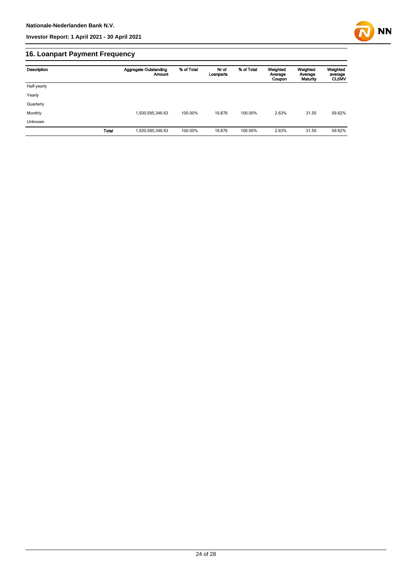

## **16. Loanpart Payment Frequency**

| Description    | <b>Aggregate Outstanding</b><br>Amount | % of Total | Nr of<br>Loanparts | % of Total | Weighted<br>Average<br>Coupon | Weighted<br>Average<br>Maturity | Weighted<br>average<br><b>CLUMV</b> |
|----------------|----------------------------------------|------------|--------------------|------------|-------------------------------|---------------------------------|-------------------------------------|
| Half-yearly    |                                        |            |                    |            |                               |                                 |                                     |
| Yearly         |                                        |            |                    |            |                               |                                 |                                     |
| Quarterly      |                                        |            |                    |            |                               |                                 |                                     |
| Monthly        | 1,930,595,346.63                       | 100.00%    | 19.879             | 100.00%    | 2.63%                         | 31.55                           | 59.62%                              |
| <b>Unknown</b> |                                        |            |                    |            |                               |                                 |                                     |
| <b>Total</b>   | 1,930,595,346.63                       | 100.00%    | 19,879             | 100.00%    | 2.63%                         | 31.55                           | 59.62%                              |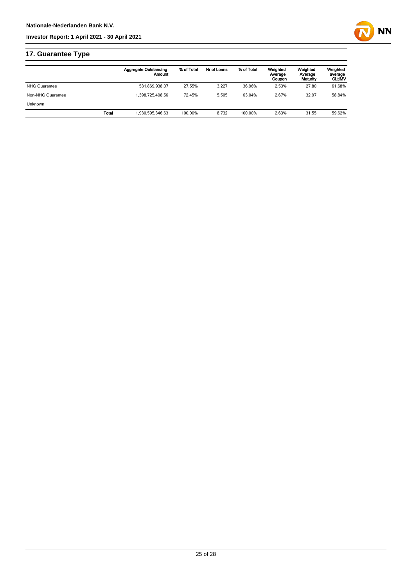

## **17. Guarantee Type**

|                      |       | <b>Aggregate Outstanding</b><br>Amount | % of Total | Nr of Loans | % of Total | Weighted<br>Average<br>Coupon | Weighted<br>Average<br>Maturity | Weighted<br>average<br><b>CLUMV</b> |
|----------------------|-------|----------------------------------------|------------|-------------|------------|-------------------------------|---------------------------------|-------------------------------------|
| <b>NHG Guarantee</b> |       | 531,869,938.07                         | 27.55%     | 3.227       | 36.96%     | 2.53%                         | 27.80                           | 61.68%                              |
| Non-NHG Guarantee    |       | .398.725.408.56                        | 72.45%     | 5.505       | 63.04%     | 2.67%                         | 32.97                           | 58.84%                              |
| <b>Unknown</b>       |       |                                        |            |             |            |                               |                                 |                                     |
|                      | Total | 930,595,346.63                         | 100.00%    | 8.732       | 100.00%    | 2.63%                         | 31.55                           | 59.62%                              |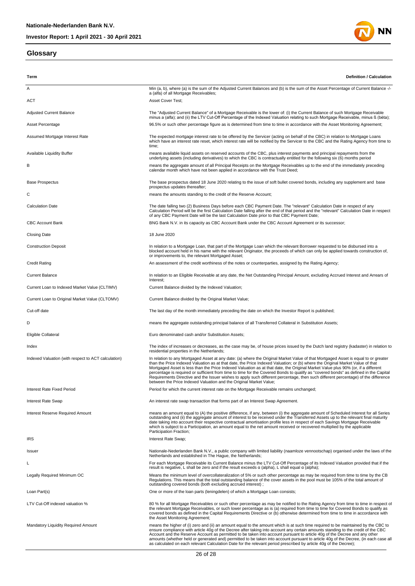#### **Glossary**



| Term                                                | <b>Definition / Calculation</b>                                                                                                                                                                                                                                                                                                                                                                                                                                                                                                                                                                                                                                                                                                                             |
|-----------------------------------------------------|-------------------------------------------------------------------------------------------------------------------------------------------------------------------------------------------------------------------------------------------------------------------------------------------------------------------------------------------------------------------------------------------------------------------------------------------------------------------------------------------------------------------------------------------------------------------------------------------------------------------------------------------------------------------------------------------------------------------------------------------------------------|
| Α                                                   | Min (a, b), where (a) is the sum of the Adjusted Current Balances and (b) is the sum of the Asset Percentage of Current Balance -/-                                                                                                                                                                                                                                                                                                                                                                                                                                                                                                                                                                                                                         |
| ACT                                                 | a (alfa) of all Mortgage Receivables;<br>Asset Cover Test;                                                                                                                                                                                                                                                                                                                                                                                                                                                                                                                                                                                                                                                                                                  |
| <b>Adjusted Current Balance</b>                     | The "Adjusted Current Balance" of a Mortgage Receivable is the lower of: (i) the Current Balance of such Mortgage Receivable<br>minus a (alfa); and (ii) the LTV Cut-Off Percentage of the Indexed Valuation relating to such Mortgage Receivable, minus ß (bèta);                                                                                                                                                                                                                                                                                                                                                                                                                                                                                          |
| Asset Percentage                                    | 96.5% or such other percentage figure as is determined from time to time in accordance with the Asset Monitoring Agreement;                                                                                                                                                                                                                                                                                                                                                                                                                                                                                                                                                                                                                                 |
| Assumed Mortgage Interest Rate                      | The expected mortgage interest rate to be offered by the Servicer (acting on behalf of the CBC) in relation to Mortgage Loans<br>which have an interest rate reset, which interest rate will be notified by the Servicer to the CBC and the Rating Agency from time to<br>time;                                                                                                                                                                                                                                                                                                                                                                                                                                                                             |
| Available Liquidity Buffer                          | means available liquid assets on reserved accounts of the CBC, plus interest payments and principal repayments from the<br>underlying assets (including derivatives) to which the CBC is contractually entitled for the following six (6) months period                                                                                                                                                                                                                                                                                                                                                                                                                                                                                                     |
| в                                                   | means the aggregate amount of all Principal Receipts on the Mortgage Receivables up to the end of the immediately preceding<br>calendar month which have not been applied in accordance with the Trust Deed;                                                                                                                                                                                                                                                                                                                                                                                                                                                                                                                                                |
| <b>Base Prospectus</b>                              | The base prospectus dated 18 June 2020 relating to the issue of soft bullet covered bonds, including any supplement and base<br>prospectus updates thereafter;                                                                                                                                                                                                                                                                                                                                                                                                                                                                                                                                                                                              |
| С                                                   | means the amounts standing to the credit of the Reserve Account;                                                                                                                                                                                                                                                                                                                                                                                                                                                                                                                                                                                                                                                                                            |
| <b>Calculation Date</b>                             | The date falling two (2) Business Days before each CBC Payment Date. The "relevant" Calculation Date in respect of any<br>Calculation Period will be the first Calculation Date falling after the end of that period and the "relevant" Calculation Date in respect<br>of any CBC Payment Date will be the last Calculation Date prior to that CBC Payment Date;                                                                                                                                                                                                                                                                                                                                                                                            |
| <b>CBC Account Bank</b>                             | BNG Bank N.V. in its capacity as CBC Account Bank under the CBC Account Agreement or its successor;                                                                                                                                                                                                                                                                                                                                                                                                                                                                                                                                                                                                                                                         |
| <b>Closing Date</b>                                 | 18 June 2020                                                                                                                                                                                                                                                                                                                                                                                                                                                                                                                                                                                                                                                                                                                                                |
| <b>Construction Deposit</b>                         | In relation to a Mortgage Loan, that part of the Mortgage Loan which the relevant Borrower requested to be disbursed into a<br>blocked account held in his name with the relevant Originator, the proceeds of which can only be applied towards construction of,<br>or improvements to, the relevant Mortgaged Asset;                                                                                                                                                                                                                                                                                                                                                                                                                                       |
| <b>Credit Rating</b>                                | An assessment of the credit worthiness of the notes or counterparties, assigned by the Rating Agency;                                                                                                                                                                                                                                                                                                                                                                                                                                                                                                                                                                                                                                                       |
| <b>Current Balance</b>                              | In relation to an Eligible Receivable at any date, the Net Outstanding Principal Amount, excluding Accrued Interest and Arrears of<br>Interest;                                                                                                                                                                                                                                                                                                                                                                                                                                                                                                                                                                                                             |
| Current Loan to Indexed Market Value (CLTIMV)       | Current Balance divided by the Indexed Valuation;                                                                                                                                                                                                                                                                                                                                                                                                                                                                                                                                                                                                                                                                                                           |
| Current Loan to Original Market Value (CLTOMV)      | Current Balance divided by the Original Market Value;                                                                                                                                                                                                                                                                                                                                                                                                                                                                                                                                                                                                                                                                                                       |
| Cut-off date                                        | The last day of the month immediately preceding the date on which the Investor Report is published;                                                                                                                                                                                                                                                                                                                                                                                                                                                                                                                                                                                                                                                         |
| D                                                   | means the aggregate outstanding principal balance of all Transferred Collateral in Substitution Assets;                                                                                                                                                                                                                                                                                                                                                                                                                                                                                                                                                                                                                                                     |
| Eligible Collateral                                 | Euro denominated cash and/or Substitution Assets;                                                                                                                                                                                                                                                                                                                                                                                                                                                                                                                                                                                                                                                                                                           |
| Index                                               | The index of increases or decreases, as the case may be, of house prices issued by the Dutch land registry (kadaster) in relation to<br>residential properties in the Netherlands;                                                                                                                                                                                                                                                                                                                                                                                                                                                                                                                                                                          |
| Indexed Valuation (with respect to ACT calculation) | In relation to any Mortgaged Asset at any date: (a) where the Original Market Value of that Mortgaged Asset is equal to or greater<br>than the Price Indexed Valuation as at that date, the Price Indexed Valuation; or (b) where the Original Market Value of that<br>Mortgaged Asset is less than the Price Indexed Valuation as at that date, the Original Market Value plus 90% (or, if a different<br>percentage is required or sufficient from time to time for the Covered Bonds to qualify as "covered bonds" as defined in the Capital<br>Requirements Directive and the Issuer wishes to apply such different percentage, then such different percentage) of the difference<br>between the Price Indexed Valuation and the Original Market Value; |
| Interest Rate Fixed Period                          | Period for which the current interest rate on the Mortgage Receivable remains unchanged;                                                                                                                                                                                                                                                                                                                                                                                                                                                                                                                                                                                                                                                                    |
| Interest Rate Swap                                  | An interest rate swap transaction that forms part of an Interest Swap Agreement.                                                                                                                                                                                                                                                                                                                                                                                                                                                                                                                                                                                                                                                                            |
| <b>Interest Reserve Required Amount</b>             | means an amount equal to (A) the positive difference, if any, between (i) the aggregate amount of Scheduled Interest for all Series<br>outstanding and (ii) the aggregate amount of interest to be received under the Transferred Assets up to the relevant final maturity<br>date taking into account their respective contractual amortisation profile less in respect of each Savings Mortgage Receivable<br>which is subject to a Participation, an amount equal to the net amount received or recovered multiplied by the applicable<br>Participation Fraction;                                                                                                                                                                                        |
| <b>IRS</b>                                          | Interest Rate Swap;                                                                                                                                                                                                                                                                                                                                                                                                                                                                                                                                                                                                                                                                                                                                         |
| Issuer                                              | Nationale-Nederlanden Bank N.V., a public company with limited liability (naamloze vennootschap) organised under the laws of the<br>Netherlands and established in The Haque, the Netherlands;                                                                                                                                                                                                                                                                                                                                                                                                                                                                                                                                                              |
| L                                                   | For each Mortgage Receivable its Current Balance minus the LTV Cut-Off Percentage of its Indexed Valuation provided that if the<br>result is negative, L shall be zero and if the result exceeds $\alpha$ (alpha), L shall equal $\alpha$ (alpha);                                                                                                                                                                                                                                                                                                                                                                                                                                                                                                          |
| Legally Required Minimum OC                         | Means the minimum level of overcollateralization of 5% or such other percentage as may be required from time to time by the CB<br>Regulations. This means that the total outstanding balance of the cover assets in the pool must be 105% of the total amount of<br>outstanding covered bonds (both excluding accrued interest);                                                                                                                                                                                                                                                                                                                                                                                                                            |
| Loan Part(s)                                        | One or more of the loan parts (leningdelen) of which a Mortgage Loan consists;                                                                                                                                                                                                                                                                                                                                                                                                                                                                                                                                                                                                                                                                              |
| LTV Cut-Off indexed valuation %                     | 80 % for all Mortgage Receivables or such other percentage as may be notified to the Rating Agency from time to time in respect of<br>the relevant Mortgage Receivables, or such lower percentage as is (a) required from time to time for Covered Bonds to qualify as<br>covered bonds as defined in the Capital Requirements Directive or (b) otherwise determined from time to time in accordance with<br>the Asset Monitoring Agreement;                                                                                                                                                                                                                                                                                                                |
| <b>Mandatory Liquidity Required Amount</b>          | means the higher of (i) zero and (ii) an amount equal to the amount which is at such time required to be maintained by the CBC to<br>ensure compliance with article 40g of the Decree after taking into account any certain amounts standing to the credit of the CBC<br>Account and the Reserve Account as permitted to be taken into account pursuant to article 40g of the Decree and any other<br>amounts (whether held or generated and) permitted to be taken into account pursuant to article 40g of the Decree, (in each case all<br>as calculated on each relevant Calculation Date for the relevant period prescribed by article 40g of the Decree);                                                                                              |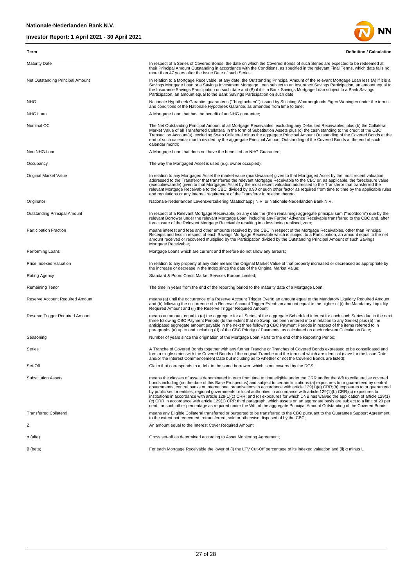

| Term                             | <b>Definition / Calculation</b>                                                                                                                                                                                                                                                                                                                                                                                                                                                                                                                                                                                                                                                                                                                                                                                                                                                                                                                               |
|----------------------------------|---------------------------------------------------------------------------------------------------------------------------------------------------------------------------------------------------------------------------------------------------------------------------------------------------------------------------------------------------------------------------------------------------------------------------------------------------------------------------------------------------------------------------------------------------------------------------------------------------------------------------------------------------------------------------------------------------------------------------------------------------------------------------------------------------------------------------------------------------------------------------------------------------------------------------------------------------------------|
| <b>Maturity Date</b>             | In respect of a Series of Covered Bonds, the date on which the Covered Bonds of such Series are expected to be redeemed at<br>their Principal Amount Outstanding in accordance with the Conditions, as specified in the relevant Final Terms, which date falls no<br>more than 47 years after the Issue Date of such Series.                                                                                                                                                                                                                                                                                                                                                                                                                                                                                                                                                                                                                                  |
| Net Outstanding Principal Amount | In relation to a Mortgage Receivable, at any date, the Outstanding Principal Amount of the relevant Mortgage Loan less (A) if it is a<br>Savings Mortgage Loan or a Savings Investment Mortgage Loan subject to an Insurance Savings Participation, an amount equal to<br>the Insurance Savings Participation on such date and (B) if it is a Bank Savings Mortgage Loan subject to a Bank Savings<br>Participation, an amount equal to the Bank Savings Participation on such date;                                                                                                                                                                                                                                                                                                                                                                                                                                                                          |
| <b>NHG</b>                       | Nationale Hypotheek Garantie: guarantees (""borgtochten"") issued by Stichting Waarborgfonds Eigen Woningen under the terms<br>and conditions of the Nationale Hypotheek Garantie, as amended from time to time;                                                                                                                                                                                                                                                                                                                                                                                                                                                                                                                                                                                                                                                                                                                                              |
| NHG Loan                         | A Mortgage Loan that has the benefit of an NHG guarantee;                                                                                                                                                                                                                                                                                                                                                                                                                                                                                                                                                                                                                                                                                                                                                                                                                                                                                                     |
| Nominal OC                       | The Net Outstanding Principal Amount of all Mortgage Receivables, excluding any Defaulted Receivables, plus (b) the Collateral<br>Market Value of all Transferred Collateral in the form of Substitution Assets plus (c) the cash standing to the credit of the CBC<br>Transaction Account(s), excluding Swap Collateral minus the aggregate Principal Amount Outstanding of the Covered Bonds at the<br>end of such calendar month divided by the aggregate Principal Amount Outstanding of the Covered Bonds at the end of such<br>calendar month;                                                                                                                                                                                                                                                                                                                                                                                                          |
| Non NHG Loan                     | A Mortgage Loan that does not have the benefit of an NHG Guarantee;                                                                                                                                                                                                                                                                                                                                                                                                                                                                                                                                                                                                                                                                                                                                                                                                                                                                                           |
| Occupancy                        | The way the Mortgaged Asset is used (e.g. owner occupied);                                                                                                                                                                                                                                                                                                                                                                                                                                                                                                                                                                                                                                                                                                                                                                                                                                                                                                    |
| Original Market Value            | In relation to any Mortgaged Asset the market value (marktwaarde) given to that Mortgaged Asset by the most recent valuation<br>addressed to the Transferor that transferred the relevant Mortgage Receivable to the CBC or, as applicable, the foreclosure value<br>(executiewaarde) given to that Mortgaged Asset by the most recent valuation addressed to the Transferor that transferred the<br>relevant Mortgage Receivable to the CBC, divided by 0.90 or such other factor as required from time to time by the applicable rules<br>and regulations or any internal requirement of the Transferor in relation thereto;                                                                                                                                                                                                                                                                                                                                |
| Originator                       | Nationale-Nederlanden Levensverzekering Maatschappij N.V. or Nationale-Nederlanden Bank N.V.                                                                                                                                                                                                                                                                                                                                                                                                                                                                                                                                                                                                                                                                                                                                                                                                                                                                  |
| Outstanding Principal Amount     | In respect of a Relevant Mortgage Receivable, on any date the (then remaining) aggregate principal sum ("hoofdsom") due by the<br>relevant Borrower under the relevant Mortgage Loan, including any Further Advance Receivable transferred to the CBC and, after<br>foreclosure of the Relevant Mortgage Receivable resulting in a loss being realised, zero;                                                                                                                                                                                                                                                                                                                                                                                                                                                                                                                                                                                                 |
| <b>Participation Fraction</b>    | means interest and fees and other amounts received by the CBC in respect of the Mortgage Receivables, other than Principal<br>Receipts and less in respect of each Savings Mortgage Receivable which is subject to a Participation, an amount equal to the net<br>amount received or recovered multiplied by the Participation divided by the Outstanding Principal Amount of such Savings<br>Mortgage Receivable;                                                                                                                                                                                                                                                                                                                                                                                                                                                                                                                                            |
| Performing Loans                 | Mortgage Loans which are current and therefore do not show any arrears;                                                                                                                                                                                                                                                                                                                                                                                                                                                                                                                                                                                                                                                                                                                                                                                                                                                                                       |
| Price Indexed Valuation          | In relation to any property at any date means the Original Market Value of that property increased or decreased as appropriate by<br>the increase or decrease in the Index since the date of the Original Market Value;                                                                                                                                                                                                                                                                                                                                                                                                                                                                                                                                                                                                                                                                                                                                       |
| Rating Agency                    | Standard & Poors Credit Market Services Europe Limited;                                                                                                                                                                                                                                                                                                                                                                                                                                                                                                                                                                                                                                                                                                                                                                                                                                                                                                       |
| Remaining Tenor                  | The time in years from the end of the reporting period to the maturity date of a Mortgage Loan;                                                                                                                                                                                                                                                                                                                                                                                                                                                                                                                                                                                                                                                                                                                                                                                                                                                               |
| Reserve Account Required Amount  | means (a) until the occurrence of a Reserve Account Trigger Event: an amount equal to the Mandatory Liquidity Required Amount<br>and (b) following the occurrence of a Reserve Account Trigger Event: an amount equal to the higher of (i) the Mandatory Liquidity<br>Required Amount and (ii) the Reserve Trigger Required Amount;                                                                                                                                                                                                                                                                                                                                                                                                                                                                                                                                                                                                                           |
| Reserve Trigger Required Amount  | means an amount equal to (a) the aggregate for all Series of the aggregate Scheduled Interest for each such Series due in the next<br>three following CBC Payment Periods (to the extent that no Swap has been entered into in relation to any Series) plus (b) the<br>anticipated aggregate amount payable in the next three following CBC Payment Periods in respect of the items referred to in<br>paragraphs (a) up to and including (d) of the CBC Priority of Payments, as calculated on each relevant Calculation Date;                                                                                                                                                                                                                                                                                                                                                                                                                                |
| Seasoning                        | Number of years since the origination of the Mortgage Loan Parts to the end of the Reporting Period;                                                                                                                                                                                                                                                                                                                                                                                                                                                                                                                                                                                                                                                                                                                                                                                                                                                          |
| Series                           | A Tranche of Covered Bonds together with any further Tranche or Tranches of Covered Bonds expressed to be consolidated and<br>form a single series with the Covered Bonds of the original Tranche and the terms of which are identical (save for the Issue Date<br>and/or the Interest Commencement Date but including as to whether or not the Covered Bonds are listed);                                                                                                                                                                                                                                                                                                                                                                                                                                                                                                                                                                                    |
| Set-Off                          | Claim that corresponds to a debt to the same borrower, which is not covered by the DGS;                                                                                                                                                                                                                                                                                                                                                                                                                                                                                                                                                                                                                                                                                                                                                                                                                                                                       |
| <b>Substitution Assets</b>       | means the classes of assets denominated in euro from time to time eligible under the CRR and/or the Wft to collateralise covered<br>bonds including (on the date of this Base Prospectus) and subject to certain limitations: (a) exposures to or guaranteed by central<br>governments, central banks or international organisations in accordance with article 129(1)(a) CRR;(b) exposures to or guaranteed<br>by public sector entities, regional governments or local authorities in accordance with article 129(1)(b) CRR;(c) exposures to<br>institutions in accordance with article 129(1)(c) CRR; and (d) exposures for which DNB has waived the application of article 129(1)<br>(c) CRR in accordance with article 129(1) CRR third paragraph, which assets on an aggregate basis are subject to a limit of 20 per<br>cent., or such other percentage as required under the Wft, of the aggregate Principal Amount Outstanding of the Covered Bonds; |
| <b>Transferred Collateral</b>    | means any Eligible Collateral transferred or purported to be transferred to the CBC pursuant to the Guarantee Support Agreement,<br>to the extent not redeemed, retransferred, sold or otherwise disposed of by the CBC;                                                                                                                                                                                                                                                                                                                                                                                                                                                                                                                                                                                                                                                                                                                                      |
| Ζ                                | An amount equal to the Interest Cover Required Amount                                                                                                                                                                                                                                                                                                                                                                                                                                                                                                                                                                                                                                                                                                                                                                                                                                                                                                         |
| $\alpha$ (alfa)                  | Gross set-off as determined according to Asset Monitoring Agreement;                                                                                                                                                                                                                                                                                                                                                                                                                                                                                                                                                                                                                                                                                                                                                                                                                                                                                          |
| $\beta$ (beta)                   | For each Mortgage Receivable the lower of (i) the LTV Cut-Off percentage of its indexed valuation and (ii) a minus L                                                                                                                                                                                                                                                                                                                                                                                                                                                                                                                                                                                                                                                                                                                                                                                                                                          |